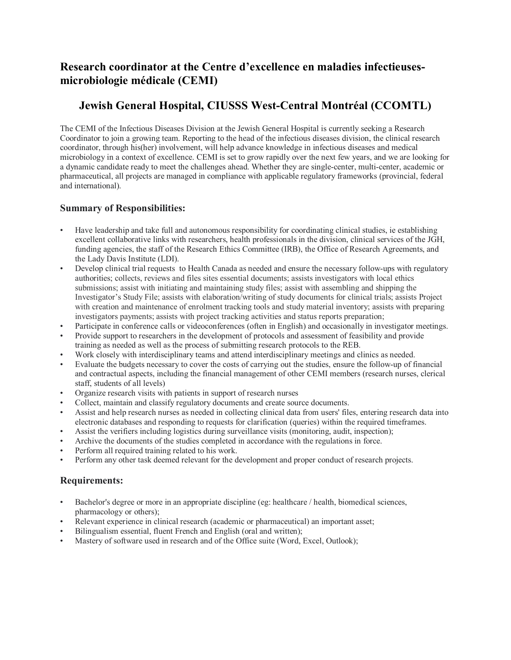# **Research coordinator at the Centre d'excellence en maladies infectieusesmicrobiologie médicale (CEMI)**

# **Jewish General Hospital, CIUSSS West-Central Montréal (CCOMTL)**

The CEMI of the Infectious Diseases Division at the Jewish General Hospital is currently seeking a Research Coordinator to join a growing team. Reporting to the head of the infectious diseases division, the clinical research coordinator, through his(her) involvement, will help advance knowledge in infectious diseases and medical microbiology in a context of excellence. CEMI is set to grow rapidly over the next few years, and we are looking for a dynamic candidate ready to meet the challenges ahead. Whether they are single-center, multi-center, academic or pharmaceutical, all projects are managed in compliance with applicable regulatory frameworks (provincial, federal and international).

# **Summary of Responsibilities:**

- Have leadership and take full and autonomous responsibility for coordinating clinical studies, ie establishing excellent collaborative links with researchers, health professionals in the division, clinical services of the JGH, funding agencies, the staff of the Research Ethics Committee (IRB), the Office of Research Agreements, and the Lady Davis Institute (LDI).
- Develop clinical trial requests to Health Canada as needed and ensure the necessary follow-ups with regulatory authorities; collects, reviews and files sites essential documents; assists investigators with local ethics submissions; assist with initiating and maintaining study files; assist with assembling and shipping the Investigator's Study File; assists with elaboration/writing of study documents for clinical trials; assists Project with creation and maintenance of enrolment tracking tools and study material inventory; assists with preparing investigators payments; assists with project tracking activities and status reports preparation;
- Participate in conference calls or videoconferences (often in English) and occasionally in investigator meetings.
- Provide support to researchers in the development of protocols and assessment of feasibility and provide training as needed as well as the process of submitting research protocols to the REB.
- Work closely with interdisciplinary teams and attend interdisciplinary meetings and clinics as needed.
- Evaluate the budgets necessary to cover the costs of carrying out the studies, ensure the follow-up of financial and contractual aspects, including the financial management of other CEMI members (research nurses, clerical staff, students of all levels)
- Organize research visits with patients in support of research nurses
- Collect, maintain and classify regulatory documents and create source documents.
- Assist and help research nurses as needed in collecting clinical data from users' files, entering research data into electronic databases and responding to requests for clarification (queries) within the required timeframes.
- Assist the verifiers including logistics during surveillance visits (monitoring, audit, inspection);
- Archive the documents of the studies completed in accordance with the regulations in force.
- Perform all required training related to his work.
- Perform any other task deemed relevant for the development and proper conduct of research projects.

### **Requirements:**

- Bachelor's degree or more in an appropriate discipline (eg: healthcare / health, biomedical sciences, pharmacology or others);
- Relevant experience in clinical research (academic or pharmaceutical) an important asset;
- Bilingualism essential, fluent French and English (oral and written);
- Mastery of software used in research and of the Office suite (Word, Excel, Outlook);